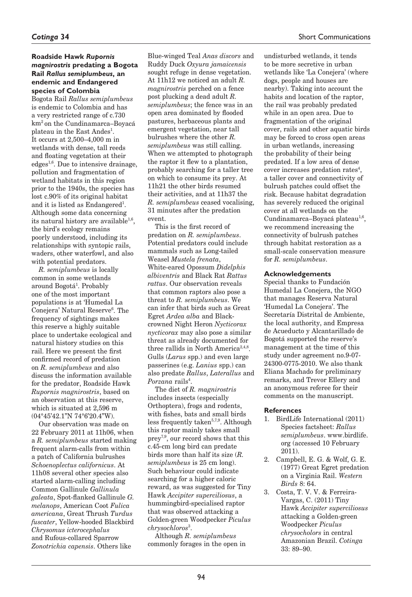# **Roadside Hawk** *Rupornis magnirostris* **predating a Bogota Rail** *Rallus semiplumbeus***, an endemic and Endangered species of Colombia**

Bogota Rail *Rallus semiplumbeus* is endemic to Colombia and has a very restricted range of c.730 km2 on the Cundinamarca–Boyacá plateau in the East Andes<sup>1</sup>. It occurs at 2,500–4,000 m in wetlands with dense, tall reeds and floating vegetation at their edges<sup>1,6</sup>. Due to intensive drainage, pollution and fragmentation of wetland habitats in this region prior to the 1940s, the species has lost c.90% of its original habitat and it is listed as Endangered<sup>1</sup>. Although some data concerning its natural history are available<sup>1,6</sup>, the bird's ecology remains poorly understood, including its relationships with syntopic rails, waders, other waterfowl, and also with potential predators.

*R. semiplumbeus* is locally common in some wetlands around Bogotá<sup>1</sup>. Probably one of the most important populations is at 'Humedal La Conejera' Natural Reserve<sup>6</sup>. The frequency of sightings makes this reserve a highly suitable place to undertake ecological and natural history studies on this rail. Here we present the first confirmed record of predation on *R. semiplumbeus* and also discuss the information available for the predator, Roadside Hawk *Rupornis magnirostris*, based on an observation at this reserve, which is situated at 2,596 m (04°45'42.1"N 74°6'20.4"W).

Our observation was made on 22 February 2011 at 11h06, when a *R. semiplumbeus* started making frequent alarm-calls from within a patch of California bulrushes *Schoenoplectus californicus*. At 11h08 several other species also started alarm-calling including Common Gallinule *Gallinula galeata*, Spot-flanked Gallinule *G. melanops*, American Coot *Fulica americana*, Great Thrush *Turdus fuscater*, Yellow-hooded Blackbird *Chrysomus icterocephalus*  and Rufous-collared Sparrow *Zonotrichia capensis*. Others like

Blue-winged Teal *Anas discors* and Ruddy Duck *Oxyura jamaicensis* sought refuge in dense vegetation. At 11h12 we noticed an adult *R. magnirostris* perched on a fence post plucking a dead adult *R. semiplumbeus*; the fence was in an open area dominated by flooded pastures, herbaceous plants and emergent vegetation, near tall bulrushes where the other *R. semiplumbeus* was still calling. When we attempted to photograph the raptor it flew to a plantation, probably searching for a taller tree on which to consume its prey. At 11h21 the other birds resumed their activities, and at 11h37 the *R. semiplumbeus* ceased vocalising, 31 minutes after the predation event.

This is the first record of predation on *R. semiplumbeus*. Potential predators could include mammals such as Long-tailed Weasel *Mustela frenata*, White-eared Opossum *Didelphis albiventris* and Black Rat *Rattus rattus*. Our observation reveals that common raptors also pose a threat to *R. semiplumbeus*. We can infer that birds such as Great Egret *Ardea alba* and Blackcrowned Night Heron *Nycticorax nycticorax* may also pose a similar threat as already documented for three rallids in North America<sup>2,4,8</sup>. Gulls (*Larus* spp.) and even large passerines (e.g. *Lanius* spp.) can also predate *Rallus*, *Laterallus* and *Porzana* rails<sup>4</sup>.

The diet of *R. magnirostris*  includes insects (especially Orthoptera), frogs and rodents, with fishes, bats and small birds less frequently taken<sup>5,7,9</sup>. Although this raptor mainly takes small prey7,9, our record shows that this c.45-cm long bird can predate birds more than half its size (*R. semiplumbeus* is 25 cm long). Such behaviour could indicate searching for a higher caloric reward, as was suggested for Tiny Hawk *Accipiter superciliosus*, a hummingbird-specialised raptor that was observed attacking a Golden-green Woodpecker *Piculus chrysochloros*<sup>3</sup> .

Although *R. semiplumbeus*  commonly forages in the open in undisturbed wetlands, it tends to be more secretive in urban wetlands like 'La Conejera' (where dogs, people and houses are nearby). Taking into account the habits and location of the raptor, the rail was probably predated

while in an open area. Due to fragmentation of the original cover, rails and other aquatic birds may be forced to cross open areas in urban wetlands, increasing the probability of their being predated. If a low area of dense cover increases predation rates<sup>4</sup>, a taller cover and connectivity of bulrush patches could offset the risk. Because habitat degradation has severely reduced the original cover at all wetlands on the Cundinamarca–Boyacá plateau<sup>1,6</sup>, we recommend increasing the connectivity of bulrush patches through habitat restoration as a small-scale conservation measure for *R. semiplumbeus*.

#### **Acknowledgements**

Special thanks to Fundación Humedal La Conejera, the NGO that manages Reserva Natural 'Humedal La Conejera'. The Secretaría Distrital de Ambiente, the local authority, and Empresa de Acueducto y Alcantarillado de Bogotá supported the reserve's management at the time of this study under agreement no.9-07- 24300-0775-2010. We also thank Eliana Machado for preliminary remarks, and Trevor Ellery and an anonymous referee for their comments on the manuscript.

# **References**

- 1. BirdLife International (2011) Species factsheet: *Rallus semiplumbeus*. www.birdlife. org (accessed 10 February 2011).
- 2. Campbell, E. G. & Wolf, G. E. (1977) Great Egret predation on a Virginia Rail. *Western Birds* 8: 64.
- 3. Costa, T. V. V. & Ferreira-Vargas, C. (2011) Tiny Hawk *Accipiter superciliosus* attacking a Golden-green Woodpecker *Piculus chrysocholors* in central Amazonian Brazil. *Cotinga* 33: 89–90.